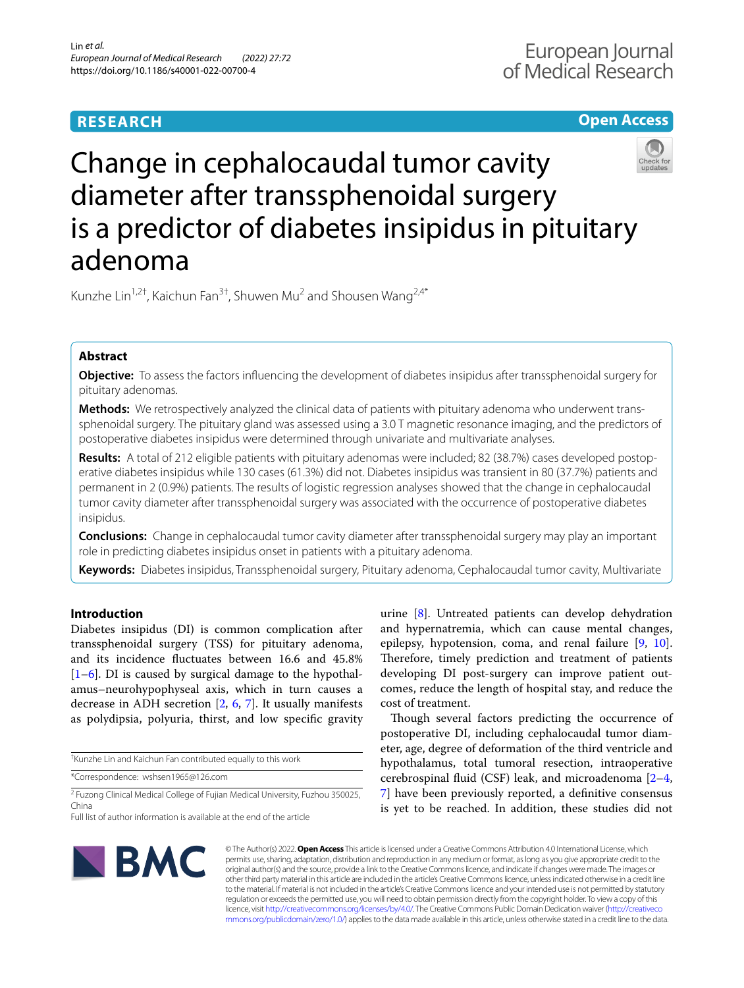# **RESEARCH**

# **Open Access**



# Change in cephalocaudal tumor cavity diameter after transsphenoidal surgery is a predictor of diabetes insipidus in pituitary adenoma

Kunzhe Lin<sup>1,2†</sup>, Kaichun Fan<sup>3†</sup>, Shuwen Mu<sup>2</sup> and Shousen Wang<sup>2,4\*</sup>

# **Abstract**

**Objective:** To assess the factors infuencing the development of diabetes insipidus after transsphenoidal surgery for pituitary adenomas.

**Methods:** We retrospectively analyzed the clinical data of patients with pituitary adenoma who underwent transsphenoidal surgery. The pituitary gland was assessed using a 3.0 T magnetic resonance imaging, and the predictors of postoperative diabetes insipidus were determined through univariate and multivariate analyses.

**Results:** A total of 212 eligible patients with pituitary adenomas were included; 82 (38.7%) cases developed postoperative diabetes insipidus while 130 cases (61.3%) did not. Diabetes insipidus was transient in 80 (37.7%) patients and permanent in 2 (0.9%) patients. The results of logistic regression analyses showed that the change in cephalocaudal tumor cavity diameter after transsphenoidal surgery was associated with the occurrence of postoperative diabetes insipidus.

**Conclusions:** Change in cephalocaudal tumor cavity diameter after transsphenoidal surgery may play an important role in predicting diabetes insipidus onset in patients with a pituitary adenoma.

**Keywords:** Diabetes insipidus, Transsphenoidal surgery, Pituitary adenoma, Cephalocaudal tumor cavity, Multivariate

# **Introduction**

Diabetes insipidus (DI) is common complication after transsphenoidal surgery (TSS) for pituitary adenoma, and its incidence fuctuates between 16.6 and 45.8%  $[1–6]$  $[1–6]$  $[1–6]$ . DI is caused by surgical damage to the hypothalamus–neurohypophyseal axis, which in turn causes a decrease in ADH secretion [[2,](#page-6-2) [6,](#page-6-1) [7](#page-6-3)]. It usually manifests as polydipsia, polyuria, thirst, and low specifc gravity

† Kunzhe Lin and Kaichun Fan contributed equally to this work

\*Correspondence: wshsen1965@126.com

<sup>2</sup> Fuzong Clinical Medical College of Fujian Medical University, Fuzhou 350025, China

urine [\[8](#page-6-4)]. Untreated patients can develop dehydration and hypernatremia, which can cause mental changes, epilepsy, hypotension, coma, and renal failure [\[9](#page-6-5), [10](#page-6-6)]. Therefore, timely prediction and treatment of patients developing DI post-surgery can improve patient outcomes, reduce the length of hospital stay, and reduce the cost of treatment.

Though several factors predicting the occurrence of postoperative DI, including cephalocaudal tumor diameter, age, degree of deformation of the third ventricle and hypothalamus, total tumoral resection, intraoperative cerebrospinal fuid (CSF) leak, and microadenoma [[2–](#page-6-2)[4](#page-6-7), [7\]](#page-6-3) have been previously reported, a defnitive consensus is yet to be reached. In addition, these studies did not



© The Author(s) 2022. **Open Access** This article is licensed under a Creative Commons Attribution 4.0 International License, which permits use, sharing, adaptation, distribution and reproduction in any medium or format, as long as you give appropriate credit to the original author(s) and the source, provide a link to the Creative Commons licence, and indicate if changes were made. The images or other third party material in this article are included in the article's Creative Commons licence, unless indicated otherwise in a credit line to the material. If material is not included in the article's Creative Commons licence and your intended use is not permitted by statutory regulation or exceeds the permitted use, you will need to obtain permission directly from the copyright holder. To view a copy of this licence, visit [http://creativecommons.org/licenses/by/4.0/.](http://creativecommons.org/licenses/by/4.0/) The Creative Commons Public Domain Dedication waiver ([http://creativeco](http://creativecommons.org/publicdomain/zero/1.0/) [mmons.org/publicdomain/zero/1.0/](http://creativecommons.org/publicdomain/zero/1.0/)) applies to the data made available in this article, unless otherwise stated in a credit line to the data.

Full list of author information is available at the end of the article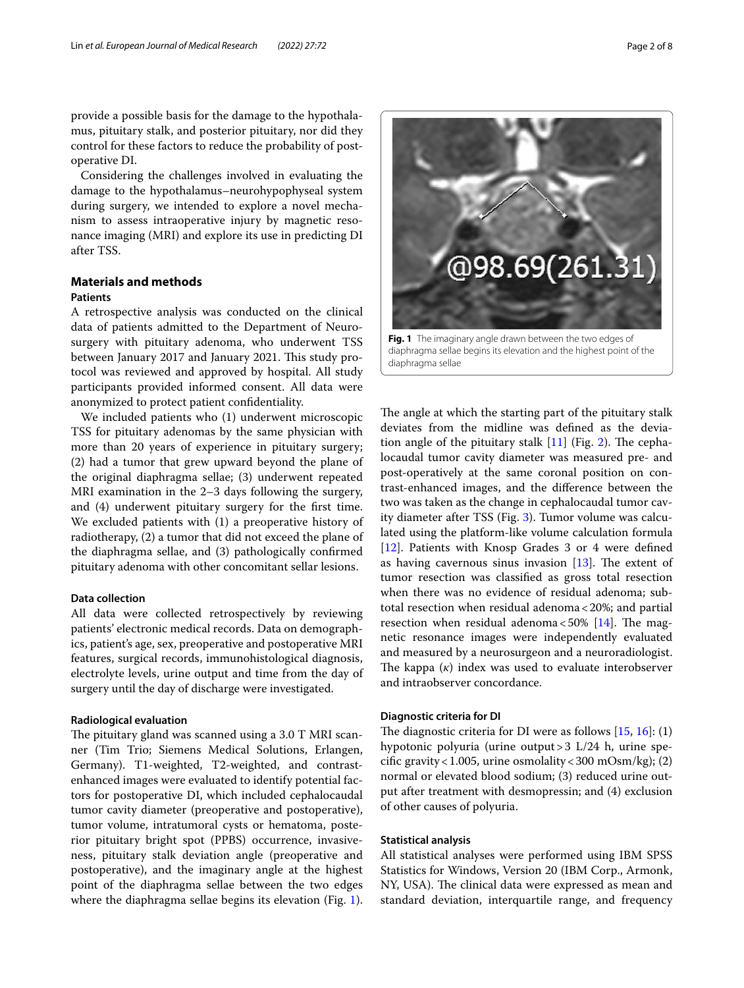provide a possible basis for the damage to the hypothalamus, pituitary stalk, and posterior pituitary, nor did they control for these factors to reduce the probability of postoperative DI.

Considering the challenges involved in evaluating the damage to the hypothalamus–neurohypophyseal system during surgery, we intended to explore a novel mechanism to assess intraoperative injury by magnetic resonance imaging (MRI) and explore its use in predicting DI after TSS.

# **Materials and methods**

# **Patients**

A retrospective analysis was conducted on the clinical data of patients admitted to the Department of Neurosurgery with pituitary adenoma, who underwent TSS between January 2017 and January 2021. This study protocol was reviewed and approved by hospital. All study participants provided informed consent. All data were anonymized to protect patient confdentiality.

We included patients who (1) underwent microscopic TSS for pituitary adenomas by the same physician with more than 20 years of experience in pituitary surgery; (2) had a tumor that grew upward beyond the plane of the original diaphragma sellae; (3) underwent repeated MRI examination in the 2–3 days following the surgery, and (4) underwent pituitary surgery for the frst time. We excluded patients with (1) a preoperative history of radiotherapy, (2) a tumor that did not exceed the plane of the diaphragma sellae, and (3) pathologically confrmed pituitary adenoma with other concomitant sellar lesions.

## **Data collection**

All data were collected retrospectively by reviewing patients' electronic medical records. Data on demographics, patient's age, sex, preoperative and postoperative MRI features, surgical records, immunohistological diagnosis, electrolyte levels, urine output and time from the day of surgery until the day of discharge were investigated.

#### **Radiological evaluation**

The pituitary gland was scanned using a  $3.0$  T MRI scanner (Tim Trio; Siemens Medical Solutions, Erlangen, Germany). T1-weighted, T2-weighted, and contrastenhanced images were evaluated to identify potential factors for postoperative DI, which included cephalocaudal tumor cavity diameter (preoperative and postoperative), tumor volume, intratumoral cysts or hematoma, posterior pituitary bright spot (PPBS) occurrence, invasiveness, pituitary stalk deviation angle (preoperative and postoperative), and the imaginary angle at the highest point of the diaphragma sellae between the two edges where the diaphragma sellae begins its elevation (Fig. [1](#page-1-0)).

<span id="page-1-0"></span>**Fig. 1** The imaginary angle drawn between the two edges of diaphragma sellae

The angle at which the starting part of the pituitary stalk deviates from the midline was defned as the deviation angle of the pituitary stalk  $[11]$  $[11]$  (Fig. [2\)](#page-2-0). The cephalocaudal tumor cavity diameter was measured pre- and post-operatively at the same coronal position on contrast-enhanced images, and the diference between the two was taken as the change in cephalocaudal tumor cavity diameter after TSS (Fig. [3\)](#page-3-0). Tumor volume was calculated using the platform-like volume calculation formula [[12\]](#page-6-9). Patients with Knosp Grades 3 or 4 were defned as having cavernous sinus invasion  $[13]$  $[13]$  $[13]$ . The extent of tumor resection was classifed as gross total resection when there was no evidence of residual adenoma; subtotal resection when residual adenoma<20%; and partial resection when residual adenoma  $<$  50% [[14](#page-6-11)]. The magnetic resonance images were independently evaluated and measured by a neurosurgeon and a neuroradiologist. The kappa  $(k)$  index was used to evaluate interobserver and intraobserver concordance.

## **Diagnostic criteria for DI**

The diagnostic criteria for DI were as follows  $[15, 16]$  $[15, 16]$  $[15, 16]$  $[15, 16]$ : (1) hypotonic polyuria (urine output>3 L/24 h, urine specifc gravity<1.005, urine osmolality<300 mOsm/kg); (2) normal or elevated blood sodium; (3) reduced urine output after treatment with desmopressin; and (4) exclusion of other causes of polyuria.

## **Statistical analysis**

All statistical analyses were performed using IBM SPSS Statistics for Windows, Version 20 (IBM Corp., Armonk, NY, USA). The clinical data were expressed as mean and standard deviation, interquartile range, and frequency

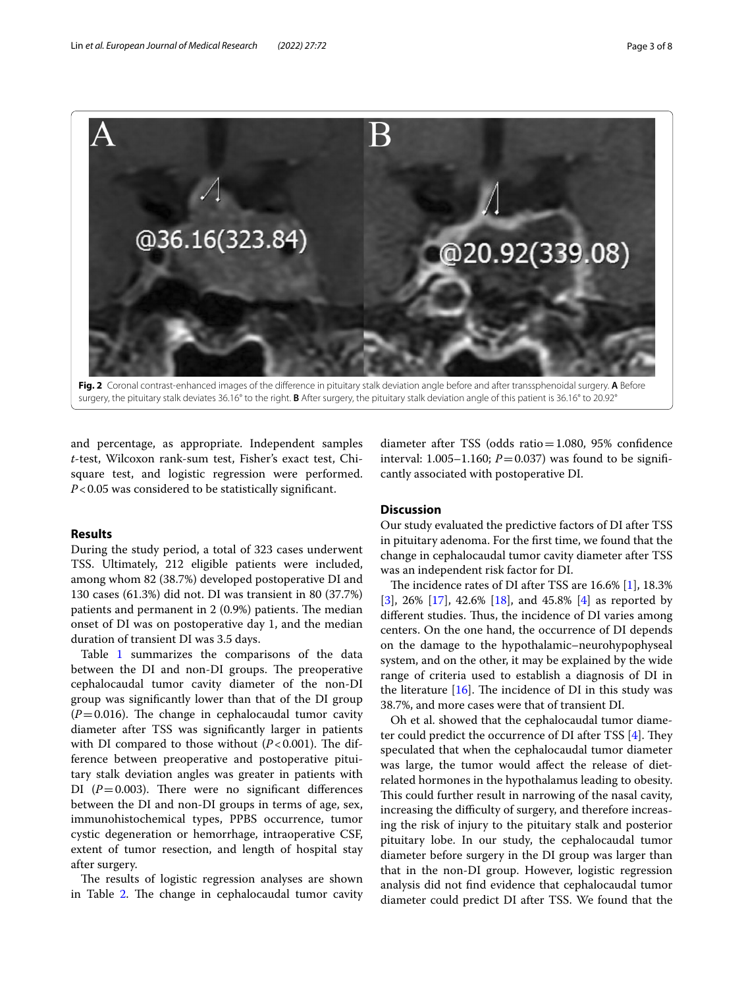

**Fig. 2** Coronal contrast-enhanced images of the diference in pituitary stalk deviation angle before and after transsphenoidal surgery. **A** Before surgery, the pituitary stalk deviates 36.16° to the right. **B** After surgery, the pituitary stalk deviation angle of this patient is 36.16° to 20.92°

<span id="page-2-0"></span>and percentage, as appropriate. Independent samples *t*-test, Wilcoxon rank-sum test, Fisher's exact test, Chisquare test, and logistic regression were performed. *P*<0.05 was considered to be statistically significant.

## **Results**

During the study period, a total of 323 cases underwent TSS. Ultimately, 212 eligible patients were included, among whom 82 (38.7%) developed postoperative DI and 130 cases (61.3%) did not. DI was transient in 80 (37.7%) patients and permanent in  $2(0.9%)$  patients. The median onset of DI was on postoperative day 1, and the median duration of transient DI was 3.5 days.

Table [1](#page-4-0) summarizes the comparisons of the data between the DI and non-DI groups. The preoperative cephalocaudal tumor cavity diameter of the non-DI group was signifcantly lower than that of the DI group  $(P=0.016)$ . The change in cephalocaudal tumor cavity diameter after TSS was signifcantly larger in patients with DI compared to those without  $(P<0.001)$ . The difference between preoperative and postoperative pituitary stalk deviation angles was greater in patients with DI  $(P=0.003)$ . There were no significant differences between the DI and non-DI groups in terms of age, sex, immunohistochemical types, PPBS occurrence, tumor cystic degeneration or hemorrhage, intraoperative CSF, extent of tumor resection, and length of hospital stay after surgery.

The results of logistic regression analyses are shown in Table [2.](#page-5-0) The change in cephalocaudal tumor cavity

diameter after TSS (odds ratio=1.080, 95% confdence interval: 1.005–1.160;  $P = 0.037$ ) was found to be significantly associated with postoperative DI.

# **Discussion**

Our study evaluated the predictive factors of DI after TSS in pituitary adenoma. For the frst time, we found that the change in cephalocaudal tumor cavity diameter after TSS was an independent risk factor for DI.

The incidence rates of DI after TSS are 16.6% [\[1\]](#page-6-0), 18.3% [[3\]](#page-6-14), 26% [[17\]](#page-6-15), 42.6% [[18\]](#page-6-16), and 45.8% [\[4](#page-6-7)] as reported by different studies. Thus, the incidence of DI varies among centers. On the one hand, the occurrence of DI depends on the damage to the hypothalamic–neurohypophyseal system, and on the other, it may be explained by the wide range of criteria used to establish a diagnosis of DI in the literature  $[16]$  $[16]$ . The incidence of DI in this study was 38.7%, and more cases were that of transient DI.

Oh et al. showed that the cephalocaudal tumor diame-ter could predict the occurrence of DI after TSS [[4\]](#page-6-7). They speculated that when the cephalocaudal tumor diameter was large, the tumor would afect the release of dietrelated hormones in the hypothalamus leading to obesity. This could further result in narrowing of the nasal cavity, increasing the difficulty of surgery, and therefore increasing the risk of injury to the pituitary stalk and posterior pituitary lobe. In our study, the cephalocaudal tumor diameter before surgery in the DI group was larger than that in the non-DI group. However, logistic regression analysis did not fnd evidence that cephalocaudal tumor diameter could predict DI after TSS. We found that the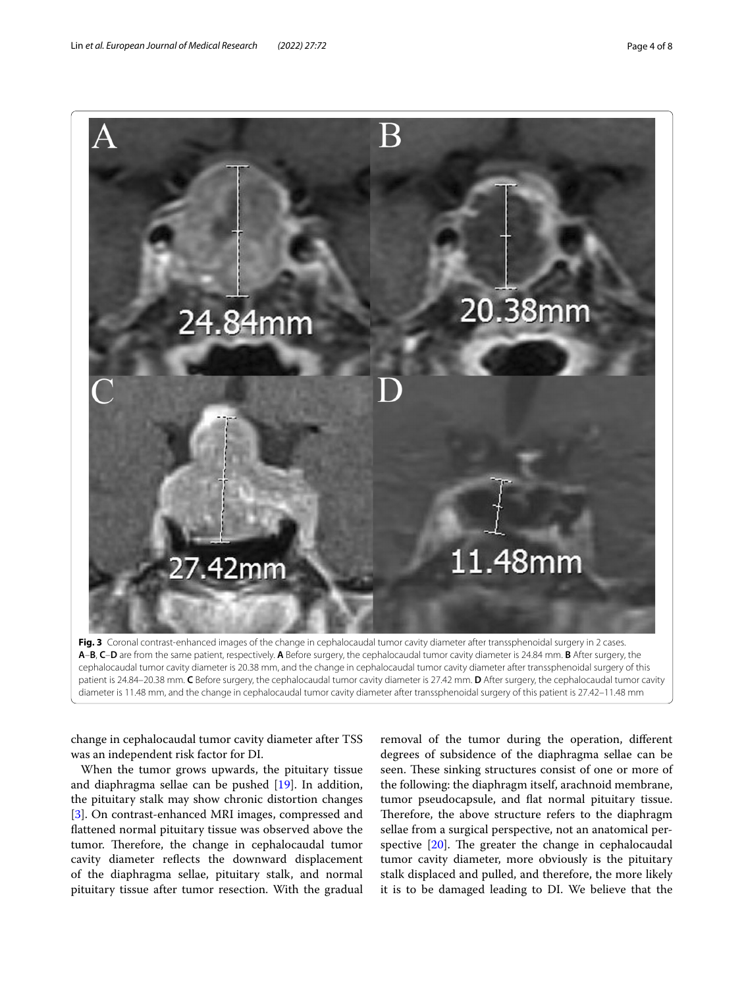

<span id="page-3-0"></span>

change in cephalocaudal tumor cavity diameter after TSS was an independent risk factor for DI.

When the tumor grows upwards, the pituitary tissue and diaphragma sellae can be pushed [[19](#page-7-0)]. In addition, the pituitary stalk may show chronic distortion changes [[3\]](#page-6-14). On contrast-enhanced MRI images, compressed and fattened normal pituitary tissue was observed above the tumor. Therefore, the change in cephalocaudal tumor cavity diameter refects the downward displacement of the diaphragma sellae, pituitary stalk, and normal pituitary tissue after tumor resection. With the gradual

removal of the tumor during the operation, diferent degrees of subsidence of the diaphragma sellae can be seen. These sinking structures consist of one or more of the following: the diaphragm itself, arachnoid membrane, tumor pseudocapsule, and fat normal pituitary tissue. Therefore, the above structure refers to the diaphragm sellae from a surgical perspective, not an anatomical perspective  $[20]$  $[20]$ . The greater the change in cephalocaudal tumor cavity diameter, more obviously is the pituitary stalk displaced and pulled, and therefore, the more likely it is to be damaged leading to DI. We believe that the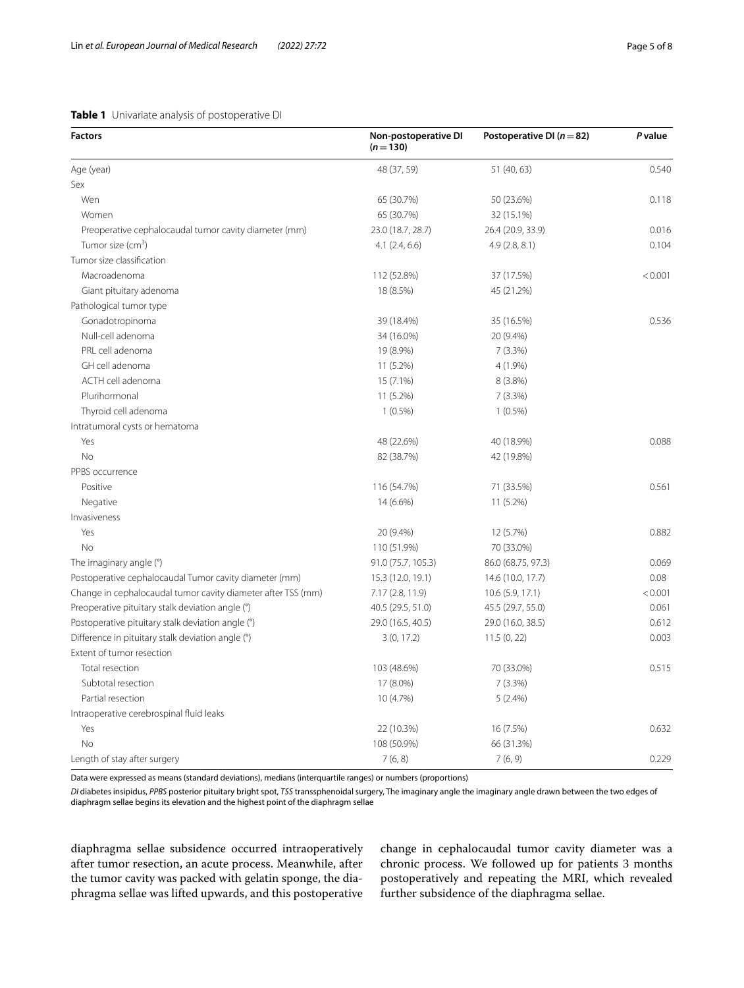# <span id="page-4-0"></span>**Table 1** Univariate analysis of postoperative DI

| <b>Factors</b>                                               | Non-postoperative DI<br>$(n=130)$ | Postoperative DI ( $n=82$ ) | <b>P</b> value |
|--------------------------------------------------------------|-----------------------------------|-----------------------------|----------------|
| Age (year)                                                   | 48 (37, 59)                       | 51 (40, 63)                 | 0.540          |
| Sex                                                          |                                   |                             |                |
| Wen                                                          | 65 (30.7%)                        | 50 (23.6%)                  | 0.118          |
| Women                                                        | 65 (30.7%)                        | 32 (15.1%)                  |                |
| Preoperative cephalocaudal tumor cavity diameter (mm)        | 23.0 (18.7, 28.7)                 | 26.4 (20.9, 33.9)           | 0.016          |
| Tumor size (cm <sup>3</sup> )                                | 4.1(2.4, 6.6)                     | 4.9(2.8, 8.1)               | 0.104          |
| Tumor size classification                                    |                                   |                             |                |
| Macroadenoma                                                 | 112 (52.8%)                       | 37 (17.5%)                  | < 0.001        |
| Giant pituitary adenoma                                      | 18 (8.5%)                         | 45 (21.2%)                  |                |
| Pathological tumor type                                      |                                   |                             |                |
| Gonadotropinoma                                              | 39 (18.4%)                        | 35 (16.5%)                  | 0.536          |
| Null-cell adenoma                                            | 34 (16.0%)                        | 20 (9.4%)                   |                |
| PRL cell adenoma                                             | 19 (8.9%)                         | $7(3.3\%)$                  |                |
| GH cell adenoma                                              | 11 (5.2%)                         | 4 (1.9%)                    |                |
| ACTH cell adenoma                                            | 15 (7.1%)                         | 8 (3.8%)                    |                |
| Plurihormonal                                                | 11 (5.2%)                         | 7(3.3%)                     |                |
| Thyroid cell adenoma                                         | $1(0.5\%)$                        | $1(0.5\%)$                  |                |
| Intratumoral cysts or hematoma                               |                                   |                             |                |
| Yes                                                          | 48 (22.6%)                        | 40 (18.9%)                  | 0.088          |
| No                                                           | 82 (38.7%)                        | 42 (19.8%)                  |                |
| PPBS occurrence                                              |                                   |                             |                |
| Positive                                                     | 116 (54.7%)                       | 71 (33.5%)                  | 0.561          |
| Negative                                                     | 14 (6.6%)                         | 11 (5.2%)                   |                |
| Invasiveness                                                 |                                   |                             |                |
| Yes                                                          | 20 (9.4%)                         | 12 (5.7%)                   | 0.882          |
| <b>No</b>                                                    | 110 (51.9%)                       | 70 (33.0%)                  |                |
| The imaginary angle (°)                                      | 91.0 (75.7, 105.3)                | 86.0 (68.75, 97.3)          | 0.069          |
| Postoperative cephalocaudal Tumor cavity diameter (mm)       | 15.3 (12.0, 19.1)                 | 14.6 (10.0, 17.7)           | 0.08           |
| Change in cephalocaudal tumor cavity diameter after TSS (mm) | 7.17 (2.8, 11.9)                  | 10.6(5.9, 17.1)             | < 0.001        |
| Preoperative pituitary stalk deviation angle (°)             | 40.5 (29.5, 51.0)                 | 45.5 (29.7, 55.0)           | 0.061          |
| Postoperative pituitary stalk deviation angle (°)            | 29.0 (16.5, 40.5)                 | 29.0 (16.0, 38.5)           | 0.612          |
| Difference in pituitary stalk deviation angle (°)            | 3(0, 17.2)                        | 11.5(0, 22)                 | 0.003          |
| Extent of tumor resection                                    |                                   |                             |                |
| Total resection                                              | 103 (48.6%)                       | 70 (33.0%)                  | 0.515          |
| Subtotal resection                                           | 17 (8.0%)                         | 7(3.3%)                     |                |
| Partial resection                                            | 10 (4.7%)                         | 5(2.4%)                     |                |
| Intraoperative cerebrospinal fluid leaks                     |                                   |                             |                |
| Yes                                                          | 22 (10.3%)                        | 16 (7.5%)                   | 0.632          |
| <b>No</b>                                                    | 108 (50.9%)                       | 66 (31.3%)                  |                |
| Length of stay after surgery                                 | 7(6, 8)                           | 7(6, 9)                     | 0.229          |

Data were expressed as means (standard deviations), medians (interquartile ranges) or numbers (proportions)

*DI* diabetes insipidus, *PPBS* posterior pituitary bright spot, *TSS* transsphenoidal surgery, The imaginary angle the imaginary angle drawn between the two edges of diaphragm sellae begins its elevation and the highest point of the diaphragm sellae

diaphragma sellae subsidence occurred intraoperatively after tumor resection, an acute process. Meanwhile, after the tumor cavity was packed with gelatin sponge, the diaphragma sellae was lifted upwards, and this postoperative

change in cephalocaudal tumor cavity diameter was a chronic process. We followed up for patients 3 months postoperatively and repeating the MRI, which revealed further subsidence of the diaphragma sellae.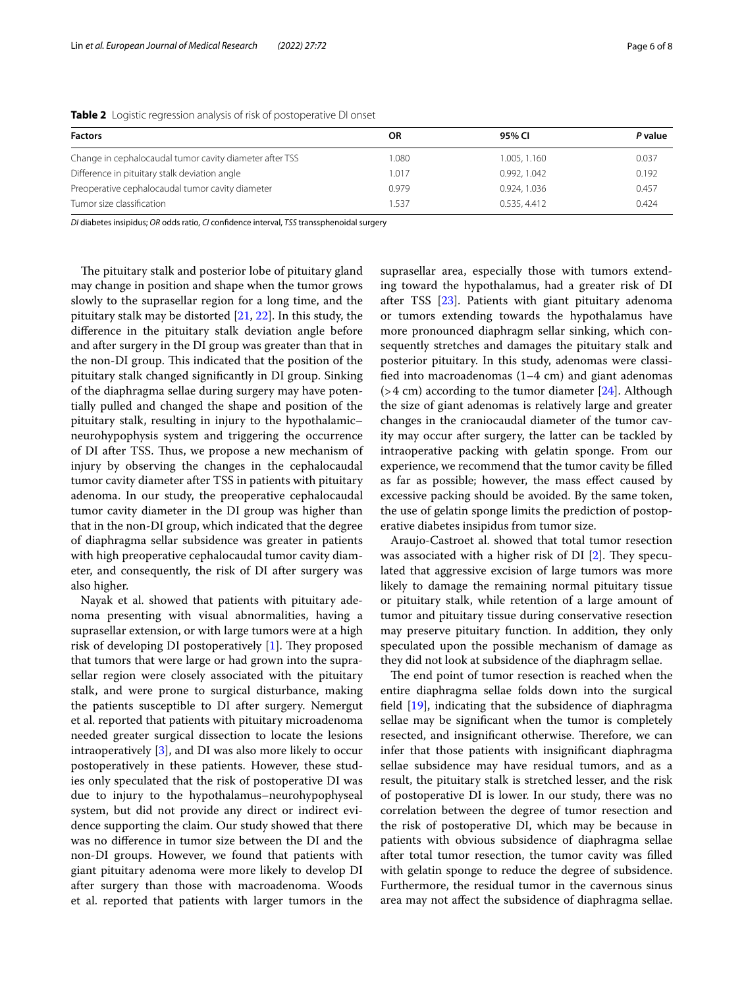| <b>Factors</b>                                          | 0R    | 95% CI       | P value |
|---------------------------------------------------------|-------|--------------|---------|
| Change in cephalocaudal tumor cavity diameter after TSS | 1.080 | 1.005, 1.160 | 0.037   |
| Difference in pituitary stalk deviation angle           | 1.017 | 0.992, 1.042 | 0.192   |
| Preoperative cephalocaudal tumor cavity diameter        | 0.979 | 0.924, 1.036 | 0.457   |
| Tumor size classification                               | 1.537 | 0.535, 4.412 | 0.424   |

<span id="page-5-0"></span>**Table 2** Logistic regression analysis of risk of postoperative DI onset

*DI* diabetes insipidus; *OR* odds ratio, *CI* confdence interval, *TSS* transsphenoidal surgery

The pituitary stalk and posterior lobe of pituitary gland may change in position and shape when the tumor grows slowly to the suprasellar region for a long time, and the pituitary stalk may be distorted [\[21](#page-7-2), [22\]](#page-7-3). In this study, the diference in the pituitary stalk deviation angle before and after surgery in the DI group was greater than that in the non-DI group. This indicated that the position of the pituitary stalk changed signifcantly in DI group. Sinking of the diaphragma sellae during surgery may have potentially pulled and changed the shape and position of the pituitary stalk, resulting in injury to the hypothalamic– neurohypophysis system and triggering the occurrence of DI after TSS. Thus, we propose a new mechanism of injury by observing the changes in the cephalocaudal tumor cavity diameter after TSS in patients with pituitary adenoma. In our study, the preoperative cephalocaudal tumor cavity diameter in the DI group was higher than that in the non-DI group, which indicated that the degree of diaphragma sellar subsidence was greater in patients with high preoperative cephalocaudal tumor cavity diameter, and consequently, the risk of DI after surgery was also higher.

Nayak et al. showed that patients with pituitary adenoma presenting with visual abnormalities, having a suprasellar extension, or with large tumors were at a high risk of developing DI postoperatively  $[1]$  $[1]$ . They proposed that tumors that were large or had grown into the suprasellar region were closely associated with the pituitary stalk, and were prone to surgical disturbance, making the patients susceptible to DI after surgery. Nemergut et al. reported that patients with pituitary microadenoma needed greater surgical dissection to locate the lesions intraoperatively [\[3\]](#page-6-14), and DI was also more likely to occur postoperatively in these patients. However, these studies only speculated that the risk of postoperative DI was due to injury to the hypothalamus–neurohypophyseal system, but did not provide any direct or indirect evidence supporting the claim. Our study showed that there was no diference in tumor size between the DI and the non-DI groups. However, we found that patients with giant pituitary adenoma were more likely to develop DI after surgery than those with macroadenoma. Woods et al. reported that patients with larger tumors in the suprasellar area, especially those with tumors extending toward the hypothalamus, had a greater risk of DI after TSS [[23](#page-7-4)]. Patients with giant pituitary adenoma or tumors extending towards the hypothalamus have more pronounced diaphragm sellar sinking, which consequently stretches and damages the pituitary stalk and posterior pituitary. In this study, adenomas were classifed into macroadenomas (1–4 cm) and giant adenomas  $(>4 \text{ cm})$  according to the tumor diameter [[24\]](#page-7-5). Although the size of giant adenomas is relatively large and greater changes in the craniocaudal diameter of the tumor cavity may occur after surgery, the latter can be tackled by intraoperative packing with gelatin sponge. From our experience, we recommend that the tumor cavity be flled as far as possible; however, the mass efect caused by excessive packing should be avoided. By the same token, the use of gelatin sponge limits the prediction of postoperative diabetes insipidus from tumor size.

Araujo-Castroet al. showed that total tumor resection was associated with a higher risk of DI  $[2]$  $[2]$ . They speculated that aggressive excision of large tumors was more likely to damage the remaining normal pituitary tissue or pituitary stalk, while retention of a large amount of tumor and pituitary tissue during conservative resection may preserve pituitary function. In addition, they only speculated upon the possible mechanism of damage as they did not look at subsidence of the diaphragm sellae.

The end point of tumor resection is reached when the entire diaphragma sellae folds down into the surgical feld [\[19](#page-7-0)], indicating that the subsidence of diaphragma sellae may be signifcant when the tumor is completely resected, and insignificant otherwise. Therefore, we can infer that those patients with insignifcant diaphragma sellae subsidence may have residual tumors, and as a result, the pituitary stalk is stretched lesser, and the risk of postoperative DI is lower. In our study, there was no correlation between the degree of tumor resection and the risk of postoperative DI, which may be because in patients with obvious subsidence of diaphragma sellae after total tumor resection, the tumor cavity was flled with gelatin sponge to reduce the degree of subsidence. Furthermore, the residual tumor in the cavernous sinus area may not afect the subsidence of diaphragma sellae.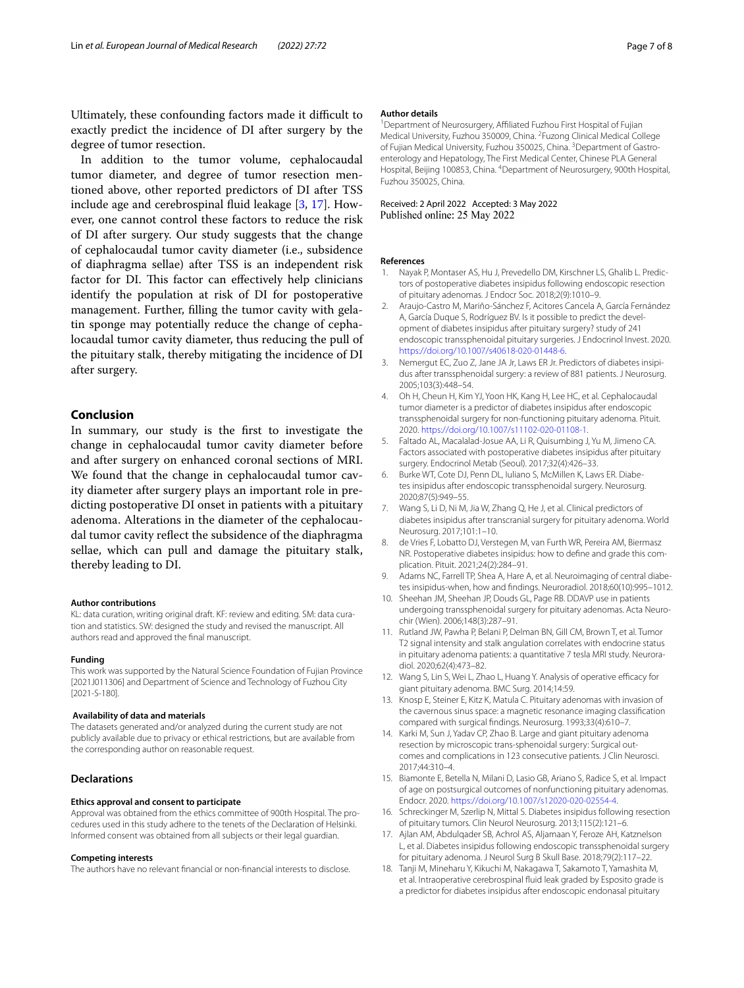Ultimately, these confounding factors made it difficult to exactly predict the incidence of DI after surgery by the degree of tumor resection.

In addition to the tumor volume, cephalocaudal tumor diameter, and degree of tumor resection mentioned above, other reported predictors of DI after TSS include age and cerebrospinal fuid leakage [\[3](#page-6-14), [17](#page-6-15)]. However, one cannot control these factors to reduce the risk of DI after surgery. Our study suggests that the change of cephalocaudal tumor cavity diameter (i.e., subsidence of diaphragma sellae) after TSS is an independent risk factor for DI. This factor can effectively help clinicians identify the population at risk of DI for postoperative management. Further, flling the tumor cavity with gelatin sponge may potentially reduce the change of cephalocaudal tumor cavity diameter, thus reducing the pull of the pituitary stalk, thereby mitigating the incidence of DI after surgery.

# **Conclusion**

In summary, our study is the frst to investigate the change in cephalocaudal tumor cavity diameter before and after surgery on enhanced coronal sections of MRI. We found that the change in cephalocaudal tumor cavity diameter after surgery plays an important role in predicting postoperative DI onset in patients with a pituitary adenoma. Alterations in the diameter of the cephalocaudal tumor cavity refect the subsidence of the diaphragma sellae, which can pull and damage the pituitary stalk, thereby leading to DI.

#### **Author contributions**

KL: data curation, writing original draft. KF: review and editing. SM: data curation and statistics. SW: designed the study and revised the manuscript. All authors read and approved the fnal manuscript.

#### **Funding**

This work was supported by the Natural Science Foundation of Fujian Province [2021J011306] and Department of Science and Technology of Fuzhou City [2021-S-180].

#### **Availability of data and materials**

The datasets generated and/or analyzed during the current study are not publicly available due to privacy or ethical restrictions, but are available from the corresponding author on reasonable request.

#### **Declarations**

#### **Ethics approval and consent to participate**

Approval was obtained from the ethics committee of 900th Hospital. The procedures used in this study adhere to the tenets of the Declaration of Helsinki. Informed consent was obtained from all subjects or their legal guardian.

#### **Competing interests**

The authors have no relevant fnancial or non-fnancial interests to disclose.

#### **Author details**

<sup>1</sup> Department of Neurosurgery, Affiliated Fuzhou First Hospital of Fujian Medical University, Fuzhou 350009, China. <sup>2</sup> Fuzong Clinical Medical College of Fujian Medical University, Fuzhou 350025, China. <sup>3</sup> Department of Gastroenterology and Hepatology, The First Medical Center, Chinese PLA General Hospital, Beijing 100853, China. <sup>4</sup>Department of Neurosurgery, 900th Hospital, Fuzhou 350025, China.

# Received: 2 April 2022 Accepted: 3 May 2022<br>Published online: 25 May 2022

#### **References**

- <span id="page-6-0"></span>1. Nayak P, Montaser AS, Hu J, Prevedello DM, Kirschner LS, Ghalib L. Predictors of postoperative diabetes insipidus following endoscopic resection of pituitary adenomas. J Endocr Soc. 2018;2(9):1010–9.
- <span id="page-6-2"></span>2. Araujo-Castro M, Mariño-Sánchez F, Acitores Cancela A, García Fernández A, García Duque S, Rodríguez BV. Is it possible to predict the development of diabetes insipidus after pituitary surgery? study of 241 endoscopic transsphenoidal pituitary surgeries. J Endocrinol Invest. 2020. <https://doi.org/10.1007/s40618-020-01448-6>.
- <span id="page-6-14"></span>Nemergut EC, Zuo Z, Jane JA Jr, Laws ER Jr. Predictors of diabetes insipidus after transsphenoidal surgery: a review of 881 patients. J Neurosurg. 2005;103(3):448–54.
- <span id="page-6-7"></span>4. Oh H, Cheun H, Kim YJ, Yoon HK, Kang H, Lee HC, et al. Cephalocaudal tumor diameter is a predictor of diabetes insipidus after endoscopic transsphenoidal surgery for non-functioning pituitary adenoma. Pituit. 2020. [https://doi.org/10.1007/s11102-020-01108-1.](https://doi.org/10.1007/s11102-020-01108-1)
- 5. Faltado AL, Macalalad-Josue AA, Li R, Quisumbing J, Yu M, Jimeno CA. Factors associated with postoperative diabetes insipidus after pituitary surgery. Endocrinol Metab (Seoul). 2017;32(4):426–33.
- <span id="page-6-1"></span>6. Burke WT, Cote DJ, Penn DL, Iuliano S, McMillen K, Laws ER. Diabetes insipidus after endoscopic transsphenoidal surgery. Neurosurg. 2020;87(5):949–55.
- <span id="page-6-3"></span>7. Wang S, Li D, Ni M, Jia W, Zhang Q, He J, et al. Clinical predictors of diabetes insipidus after transcranial surgery for pituitary adenoma. World Neurosurg. 2017;101:1–10.
- <span id="page-6-4"></span>8. de Vries F, Lobatto DJ, Verstegen M, van Furth WR, Pereira AM, Biermasz NR. Postoperative diabetes insipidus: how to defne and grade this complication. Pituit. 2021;24(2):284–91.
- <span id="page-6-5"></span>9. Adams NC, Farrell TP, Shea A, Hare A, et al. Neuroimaging of central diabetes insipidus-when, how and fndings. Neuroradiol. 2018;60(10):995–1012.
- <span id="page-6-6"></span>10. Sheehan JM, Sheehan JP, Douds GL, Page RB. DDAVP use in patients undergoing transsphenoidal surgery for pituitary adenomas. Acta Neurochir (Wien). 2006;148(3):287–91.
- <span id="page-6-8"></span>11. Rutland JW, Pawha P, Belani P, Delman BN, Gill CM, Brown T, et al. Tumor T2 signal intensity and stalk angulation correlates with endocrine status in pituitary adenoma patients: a quantitative 7 tesla MRI study. Neuroradiol. 2020;62(4):473–82.
- <span id="page-6-9"></span>12. Wang S, Lin S, Wei L, Zhao L, Huang Y. Analysis of operative efficacy for giant pituitary adenoma. BMC Surg. 2014;14:59.
- <span id="page-6-10"></span>13. Knosp E, Steiner E, Kitz K, Matula C. Pituitary adenomas with invasion of the cavernous sinus space: a magnetic resonance imaging classifcation compared with surgical fndings. Neurosurg. 1993;33(4):610–7.
- <span id="page-6-11"></span>14. Karki M, Sun J, Yadav CP, Zhao B. Large and giant pituitary adenoma resection by microscopic trans-sphenoidal surgery: Surgical outcomes and complications in 123 consecutive patients. J Clin Neurosci. 2017;44:310–4.
- <span id="page-6-12"></span>15. Biamonte E, Betella N, Milani D, Lasio GB, Ariano S, Radice S, et al. Impact of age on postsurgical outcomes of nonfunctioning pituitary adenomas. Endocr. 2020. [https://doi.org/10.1007/s12020-020-02554-4.](https://doi.org/10.1007/s12020-020-02554-4)
- <span id="page-6-13"></span>16. Schreckinger M, Szerlip N, Mittal S. Diabetes insipidus following resection of pituitary tumors. Clin Neurol Neurosurg. 2013;115(2):121–6.
- <span id="page-6-15"></span>17. Ajlan AM, Abdulqader SB, Achrol AS, Aljamaan Y, Feroze AH, Katznelson L, et al. Diabetes insipidus following endoscopic transsphenoidal surgery for pituitary adenoma. J Neurol Surg B Skull Base. 2018;79(2):117–22.
- <span id="page-6-16"></span>18. Tanji M, Mineharu Y, Kikuchi M, Nakagawa T, Sakamoto T, Yamashita M, et al. Intraoperative cerebrospinal fuid leak graded by Esposito grade is a predictor for diabetes insipidus after endoscopic endonasal pituitary